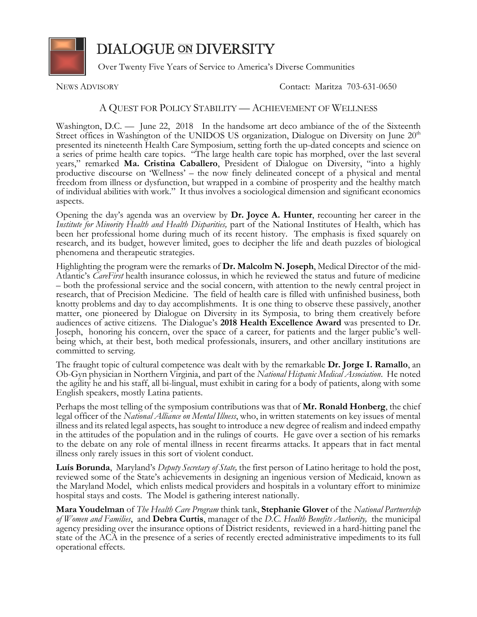

**DIALOGUE ON DIVERSITY** 

Over Twenty Five Years of Service to America's Diverse Communities

NEWS ADVISORY Contact: Maritza 703-631-0650

## A QUEST FOR POLICY STABILITY — ACHIEVEMENT OF WELLNESS

Washington, D.C. — June 22, 2018 In the handsome art deco ambiance of the of the Sixteenth Street offices in Washington of the UNIDOS US organization, Dialogue on Diversity on June 20<sup>th</sup> presented its nineteenth Health Care Symposium, setting forth the up-dated concepts and science on a series of prime health care topics. "The large health care topic has morphed, over the last several years," remarked **Ma. Cristina Caballero**, President of Dialogue on Diversity, "into a highly productive discourse on 'Wellness' – the now finely delineated concept of a physical and mental freedom from illness or dysfunction, but wrapped in a combine of prosperity and the healthy match of individual abilities with work." It thus involves a sociological dimension and significant economics aspects.

Opening the day's agenda was an overview by **Dr. Joyce A. Hunter**, recounting her career in the *Institute for Minority Health and Health Disparities,* part of the National Institutes of Health, which has been her professional home during much of its recent history. The emphasis is fixed squarely on research, and its budget, however limited, goes to decipher the life and death puzzles of biological phenomena and therapeutic strategies.

Highlighting the program were the remarks of **Dr. Malcolm N. Joseph**, Medical Director of the mid-Atlantic's *CareFirst* health insurance colossus, in which he reviewed the status and future of medicine – both the professional service and the social concern, with attention to the newly central project in research, that of Precision Medicine. The field of health care is filled with unfinished business, both knotty problems and day to day accomplishments. It is one thing to observe these passively, another matter, one pioneered by Dialogue on Diversity in its Symposia, to bring them creatively before audiences of active citizens. The Dialogue's **2018 Health Excellence Award** was presented to Dr. Joseph, honoring his concern, over the space of a career, for patients and the larger public's wellbeing which, at their best, both medical professionals, insurers, and other ancillary institutions are committed to serving.

The fraught topic of cultural competence was dealt with by the remarkable **Dr. Jorge I. Ramallo**, an Ob-Gyn physician in Northern Virginia, and part of the *National Hispanic Medical Association*. He noted the agility he and his staff, all bi-lingual, must exhibit in caring for a body of patients, along with some English speakers, mostly Latina patients.

Perhaps the most telling of the symposium contributions was that of **Mr. Ronald Honberg**, the chief legal officer of the *National Alliance on Mental Illness*, who, in written statements on key issues of mental illness and its related legal aspects, has sought to introduce a new degree of realism and indeed empathy in the attitudes of the population and in the rulings of courts. He gave over a section of his remarks to the debate on any role of mental illness in recent firearms attacks. It appears that in fact mental illness only rarely issues in this sort of violent conduct.

**Luís Borunda**, Maryland's *Deputy Secretary of State,* the first person of Latino heritage to hold the post, reviewed some of the State's achievements in designing an ingenious version of Medicaid, known as the Maryland Model, which enlists medical providers and hospitals in a voluntary effort to minimize hospital stays and costs. The Model is gathering interest nationally.

**Mara Youdelman** of *The Health Care Program* think tank, **Stephanie Glover** of the *National Partnership of Women and Families*, and **Debra Curtis**, manager of the *D.C. Health Benefits Authority,* the municipal agency presiding over the insurance options of District residents, reviewed in a hard-hitting panel the state of the ACA in the presence of a series of recently erected administrative impediments to its full operational effects.